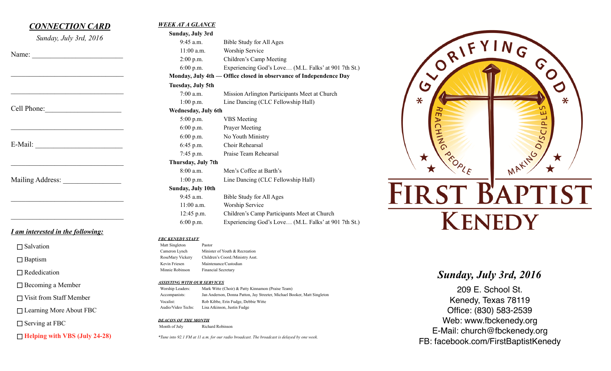

Worship Leaders: Mark Witte (Choir) & Patty Kinnamon (Praise Team)

 Vocalist: Rob Kibbe, Erin Fudge, Debbie Witte Audio/Video Techs: Lisa Atkinson, Justin Fudge

*DEACON OF THE MONTH*

Month of July Richard Robinson

Accompanists: Jan Anderson, Donna Patton, Jay Streeter, Michael Booker, Matt Singleton

*\*Tune into 92.1 FM at 11 a.m. for our radio broadcast. The broadcast is delayed by one week.*

□ Visit from Staff Member

 $\Box$  Serving at FBC

□ Learning More About FBC

**Helping with VBS (July 24-28)**

209 E. School St. Kenedy, Texas 78119 Office: (830) 583-2539 Web: www.fbckenedy.org E-Mail: church@fbckenedy.org FB: facebook.com/FirstBaptistKenedy

G

ш

 $\boldsymbol{O}$ 

⋇